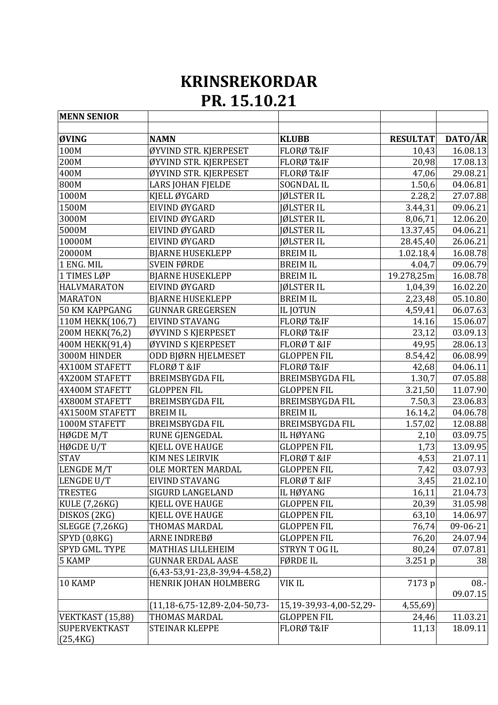## **KRINSREKORDAR PR. 15.10.21**

| <b>MENN SENIOR</b>                |                                               |                         |                 |          |
|-----------------------------------|-----------------------------------------------|-------------------------|-----------------|----------|
| ØVING                             | <b>NAMN</b>                                   | <b>KLUBB</b>            | <b>RESULTAT</b> | DATO/ÅR  |
| 100M                              | ØYVIND STR. KJERPESET                         | FLORØ T&IF              | 10,43           | 16.08.13 |
| 200M                              | ØYVIND STR. KJERPESET                         | FLORØ T&IF              | 20,98           | 17.08.13 |
| 400M                              | ØYVIND STR. KJERPESET                         | FLORØ T&IF              | 47,06           | 29.08.21 |
| 800M                              | LARS JOHAN FJELDE                             | <b>SOGNDAL IL</b>       | 1.50,6          | 04.06.81 |
| 1000M                             | KJELL ØYGARD                                  | JØLSTER IL              | 2.28,2          | 27.07.88 |
| 1500M                             | EIVIND ØYGARD                                 | JØLSTER IL              | 3.44,31         | 09.06.21 |
| 3000M                             | EIVIND ØYGARD                                 | JØLSTER IL              | 8,06,71         | 12.06.20 |
| 5000M                             | EIVIND ØYGARD                                 | JØLSTER IL              | 13.37,45        | 04.06.21 |
| 10000M                            | EIVIND ØYGARD                                 | JØLSTER IL              | 28.45,40        | 26.06.21 |
| 20000M                            | <b>BJARNE HUSEKLEPP</b>                       | <b>BREIM IL</b>         | 1.02.18,4       | 16.08.78 |
| 1 ENG. MIL                        | <b>SVEIN FØRDE</b>                            | <b>BREIM IL</b>         | 4.04,7          | 09.06.79 |
| 1 TIMES LØP                       | <b>BJARNE HUSEKLEPP</b>                       | <b>BREIM IL</b>         | 19.278,25m      | 16.08.78 |
| <b>HALVMARATON</b>                | EIVIND ØYGARD                                 | JØLSTER IL              | 1,04,39         | 16.02.20 |
| <b>MARATON</b>                    | <b>BJARNE HUSEKLEPP</b>                       | <b>BREIM IL</b>         | 2,23,48         | 05.10.80 |
| <b>50 KM KAPPGANG</b>             | <b>GUNNAR GREGERSEN</b>                       | <b>IL JOTUN</b>         | 4,59,41         | 06.07.63 |
| 110M HEKK(106,7)                  | EIVIND STAVANG                                | FLORØ T&IF              | 14.16           | 15.06.07 |
| 200M HEKK(76,2)                   | ØYVIND S KJERPESET                            | FLORØ T&IF              | 23,12           | 03.09.13 |
| 400M HEKK(91,4)                   | ØYVIND S KJERPESET                            | FLORØ T &IF             | 49,95           | 28.06.13 |
| 3000M HINDER                      | ODD BJØRN HJELMESET                           | <b>GLOPPEN FIL</b>      | 8.54,42         | 06.08.99 |
| 4X100M STAFETT                    | FLORØT&IF                                     | FLORØ T&IF              | 42,68           | 04.06.11 |
| 4X200M STAFETT                    | <b>BREIMSBYGDA FIL</b>                        | <b>BREIMSBYGDA FIL</b>  | 1.30,7          | 07.05.88 |
| 4X400M STAFETT                    | <b>GLOPPEN FIL</b>                            | <b>GLOPPEN FIL</b>      | 3.21,50         | 11.07.90 |
| 4X800M STAFETT                    | <b>BREIMSBYGDA FIL</b>                        | <b>BREIMSBYGDA FIL</b>  | 7.50,3          | 23.06.83 |
| 4X1500M STAFETT                   | <b>BREIM IL</b>                               | <b>BREIM IL</b>         | 16.14,2         | 04.06.78 |
| 1000M STAFETT                     | <b>BREIMSBYGDA FIL</b>                        | <b>BREIMSBYGDA FIL</b>  | 1.57,02         | 12.08.88 |
| HØGDE M/T                         | RUNE GJENGEDAL                                | IL HØYANG               | 2,10            | 03.09.75 |
| HØGDE U/T                         | <b>KJELL OVE HAUGE</b>                        | <b>GLOPPEN FIL</b>      | 1,73            | 13.09.95 |
| <b>STAV</b>                       | KIM NES LEIRVIK                               | FLORØT&IF               | 4,53            | 21.07.11 |
| LENGDE M/T                        | <b>OLE MORTEN MARDAL</b>                      | <b>GLOPPEN FIL</b>      | 7,42            | 03.07.93 |
| LENGDE U/T                        | EIVIND STAVANG                                | FLORØT&IF               | 3,45            | 21.02.10 |
| <b>TRESTEG</b>                    | <b>SIGURD LANGELAND</b>                       | IL HØYANG               | 16,11           | 21.04.73 |
| <b>KULE (7,26KG)</b>              | KJELL OVE HAUGE                               | <b>GLOPPEN FIL</b>      | 20,39           | 31.05.98 |
| DISKOS (2KG)                      | <b>KJELL OVE HAUGE</b>                        | <b>GLOPPEN FIL</b>      | 63,10           | 14.06.97 |
| SLEGGE (7,26KG)                   | THOMAS MARDAL                                 | <b>GLOPPEN FIL</b>      | 76,74           | 09-06-21 |
| SPYD (0,8KG)                      | ARNE INDREBØ                                  | <b>GLOPPEN FIL</b>      | 76,20           | 24.07.94 |
| <b>SPYD GML. TYPE</b>             | MATHIAS LILLEHEIM                             | <b>STRYNT OG IL</b>     | 80,24           | 07.07.81 |
| 5 KAMP                            | <b>GUNNAR ERDAL AASE</b>                      | <b>FØRDE IL</b>         | 3.251 p         | 38       |
|                                   | $(6,43-53,91-23,8-39,94-4.58,2)$              |                         |                 |          |
| 10 KAMP                           | HENRIK JOHAN HOLMBERG                         | <b>VIKIL</b>            | 7173 p          | $08 -$   |
|                                   |                                               |                         |                 | 09.07.15 |
|                                   | $(11, 18 - 6, 75 - 12, 89 - 2, 04 - 50, 73 -$ | 15,19-39,93-4,00-52,29- | 4,55,69)        |          |
| VEKTKAST (15,88)                  | THOMAS MARDAL                                 | <b>GLOPPEN FIL</b>      | 24,46           | 11.03.21 |
| <b>SUPERVEKTKAST</b><br>(25, 4KG) | <b>STEINAR KLEPPE</b>                         | FLORØ T&IF              | 11,13           | 18.09.11 |